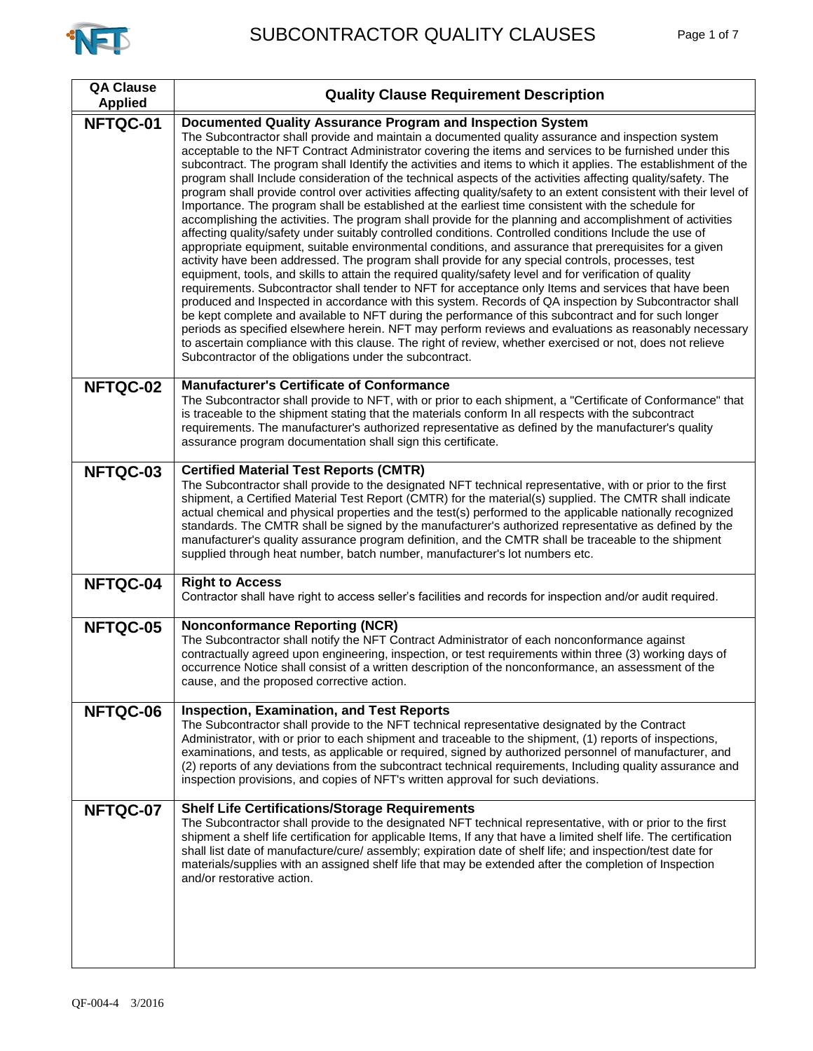

| <b>QA Clause</b><br><b>Applied</b> | <b>Quality Clause Requirement Description</b>                                                                                                                                                                                                                                                                                                                                                                                                                                                                                                                                                                                                                                                                                                                                                                                                                                                                                                                                                                                                                                                                                                                                                                                                                                                                                                                                                                                                                                                                                                                                                                                                                                                                                                                                                                                                                                                            |
|------------------------------------|----------------------------------------------------------------------------------------------------------------------------------------------------------------------------------------------------------------------------------------------------------------------------------------------------------------------------------------------------------------------------------------------------------------------------------------------------------------------------------------------------------------------------------------------------------------------------------------------------------------------------------------------------------------------------------------------------------------------------------------------------------------------------------------------------------------------------------------------------------------------------------------------------------------------------------------------------------------------------------------------------------------------------------------------------------------------------------------------------------------------------------------------------------------------------------------------------------------------------------------------------------------------------------------------------------------------------------------------------------------------------------------------------------------------------------------------------------------------------------------------------------------------------------------------------------------------------------------------------------------------------------------------------------------------------------------------------------------------------------------------------------------------------------------------------------------------------------------------------------------------------------------------------------|
| NFTQC-01                           | Documented Quality Assurance Program and Inspection System<br>The Subcontractor shall provide and maintain a documented quality assurance and inspection system<br>acceptable to the NFT Contract Administrator covering the items and services to be furnished under this<br>subcontract. The program shall Identify the activities and items to which it applies. The establishment of the<br>program shall Include consideration of the technical aspects of the activities affecting quality/safety. The<br>program shall provide control over activities affecting quality/safety to an extent consistent with their level of<br>Importance. The program shall be established at the earliest time consistent with the schedule for<br>accomplishing the activities. The program shall provide for the planning and accomplishment of activities<br>affecting quality/safety under suitably controlled conditions. Controlled conditions Include the use of<br>appropriate equipment, suitable environmental conditions, and assurance that prerequisites for a given<br>activity have been addressed. The program shall provide for any special controls, processes, test<br>equipment, tools, and skills to attain the required quality/safety level and for verification of quality<br>requirements. Subcontractor shall tender to NFT for acceptance only Items and services that have been<br>produced and Inspected in accordance with this system. Records of QA inspection by Subcontractor shall<br>be kept complete and available to NFT during the performance of this subcontract and for such longer<br>periods as specified elsewhere herein. NFT may perform reviews and evaluations as reasonably necessary<br>to ascertain compliance with this clause. The right of review, whether exercised or not, does not relieve<br>Subcontractor of the obligations under the subcontract. |
| NFTQC-02                           | <b>Manufacturer's Certificate of Conformance</b><br>The Subcontractor shall provide to NFT, with or prior to each shipment, a "Certificate of Conformance" that<br>is traceable to the shipment stating that the materials conform In all respects with the subcontract<br>requirements. The manufacturer's authorized representative as defined by the manufacturer's quality<br>assurance program documentation shall sign this certificate.                                                                                                                                                                                                                                                                                                                                                                                                                                                                                                                                                                                                                                                                                                                                                                                                                                                                                                                                                                                                                                                                                                                                                                                                                                                                                                                                                                                                                                                           |
| NFTQC-03                           | <b>Certified Material Test Reports (CMTR)</b><br>The Subcontractor shall provide to the designated NFT technical representative, with or prior to the first<br>shipment, a Certified Material Test Report (CMTR) for the material(s) supplied. The CMTR shall indicate<br>actual chemical and physical properties and the test(s) performed to the applicable nationally recognized<br>standards. The CMTR shall be signed by the manufacturer's authorized representative as defined by the<br>manufacturer's quality assurance program definition, and the CMTR shall be traceable to the shipment<br>supplied through heat number, batch number, manufacturer's lot numbers etc.                                                                                                                                                                                                                                                                                                                                                                                                                                                                                                                                                                                                                                                                                                                                                                                                                                                                                                                                                                                                                                                                                                                                                                                                                      |
| NFTQC-04                           | <b>Right to Access</b><br>Contractor shall have right to access seller's facilities and records for inspection and/or audit required.                                                                                                                                                                                                                                                                                                                                                                                                                                                                                                                                                                                                                                                                                                                                                                                                                                                                                                                                                                                                                                                                                                                                                                                                                                                                                                                                                                                                                                                                                                                                                                                                                                                                                                                                                                    |
| NFTQC-05                           | <b>Nonconformance Reporting (NCR)</b><br>The Subcontractor shall notify the NFT Contract Administrator of each nonconformance against<br>contractually agreed upon engineering, inspection, or test requirements within three (3) working days of<br>occurrence Notice shall consist of a written description of the nonconformance, an assessment of the<br>cause, and the proposed corrective action.                                                                                                                                                                                                                                                                                                                                                                                                                                                                                                                                                                                                                                                                                                                                                                                                                                                                                                                                                                                                                                                                                                                                                                                                                                                                                                                                                                                                                                                                                                  |
| NFTQC-06                           | <b>Inspection, Examination, and Test Reports</b><br>The Subcontractor shall provide to the NFT technical representative designated by the Contract<br>Administrator, with or prior to each shipment and traceable to the shipment, (1) reports of inspections,<br>examinations, and tests, as applicable or required, signed by authorized personnel of manufacturer, and<br>(2) reports of any deviations from the subcontract technical requirements, Including quality assurance and<br>inspection provisions, and copies of NFT's written approval for such deviations.                                                                                                                                                                                                                                                                                                                                                                                                                                                                                                                                                                                                                                                                                                                                                                                                                                                                                                                                                                                                                                                                                                                                                                                                                                                                                                                              |
| NFTQC-07                           | <b>Shelf Life Certifications/Storage Requirements</b><br>The Subcontractor shall provide to the designated NFT technical representative, with or prior to the first<br>shipment a shelf life certification for applicable Items, If any that have a limited shelf life. The certification<br>shall list date of manufacture/cure/ assembly; expiration date of shelf life; and inspection/test date for<br>materials/supplies with an assigned shelf life that may be extended after the completion of Inspection<br>and/or restorative action.                                                                                                                                                                                                                                                                                                                                                                                                                                                                                                                                                                                                                                                                                                                                                                                                                                                                                                                                                                                                                                                                                                                                                                                                                                                                                                                                                          |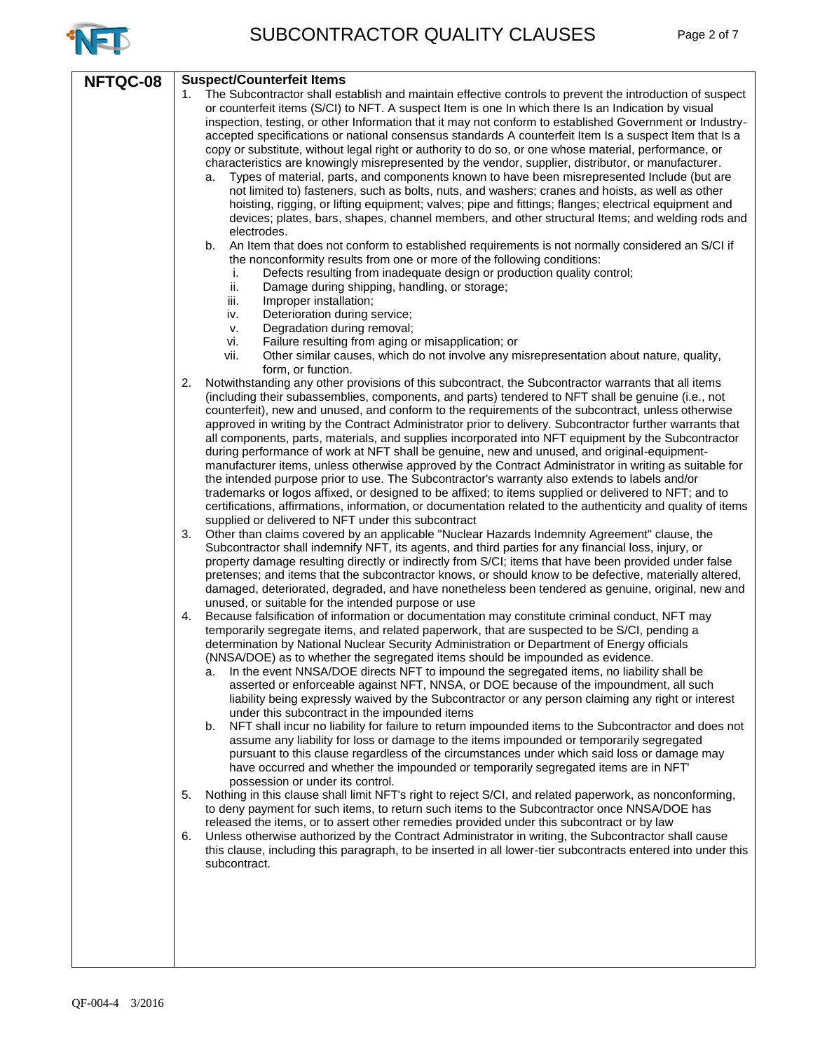

|          | <b>Suspect/Counterfeit Items</b>                                                                                                                                                                                                                                                                                                                                                                                                                                                                                                                                                                                                                                                                                                                                                                                                                                                                                                                                                                                                                                                                                                                                                                          |
|----------|-----------------------------------------------------------------------------------------------------------------------------------------------------------------------------------------------------------------------------------------------------------------------------------------------------------------------------------------------------------------------------------------------------------------------------------------------------------------------------------------------------------------------------------------------------------------------------------------------------------------------------------------------------------------------------------------------------------------------------------------------------------------------------------------------------------------------------------------------------------------------------------------------------------------------------------------------------------------------------------------------------------------------------------------------------------------------------------------------------------------------------------------------------------------------------------------------------------|
| NFTQC-08 | The Subcontractor shall establish and maintain effective controls to prevent the introduction of suspect<br>1.<br>or counterfeit items (S/CI) to NFT. A suspect Item is one In which there Is an Indication by visual<br>inspection, testing, or other Information that it may not conform to established Government or Industry-<br>accepted specifications or national consensus standards A counterfeit Item Is a suspect Item that Is a<br>copy or substitute, without legal right or authority to do so, or one whose material, performance, or<br>characteristics are knowingly misrepresented by the vendor, supplier, distributor, or manufacturer.<br>Types of material, parts, and components known to have been misrepresented Include (but are<br>a.<br>not limited to) fasteners, such as bolts, nuts, and washers; cranes and hoists, as well as other<br>hoisting, rigging, or lifting equipment; valves; pipe and fittings; flanges; electrical equipment and<br>devices; plates, bars, shapes, channel members, and other structural Items; and welding rods and<br>electrodes.<br>An Item that does not conform to established requirements is not normally considered an S/CI if<br>b. |
|          | the nonconformity results from one or more of the following conditions:<br>Defects resulting from inadequate design or production quality control;<br>i.<br>ii.<br>Damage during shipping, handling, or storage;<br>iii.<br>Improper installation;<br>Deterioration during service;<br>iv.<br>Degradation during removal;<br>v.<br>Failure resulting from aging or misapplication; or<br>vi.<br>Other similar causes, which do not involve any misrepresentation about nature, quality,<br>vii.<br>form, or function.                                                                                                                                                                                                                                                                                                                                                                                                                                                                                                                                                                                                                                                                                     |
|          | Notwithstanding any other provisions of this subcontract, the Subcontractor warrants that all items<br>2.<br>(including their subassemblies, components, and parts) tendered to NFT shall be genuine (i.e., not<br>counterfeit), new and unused, and conform to the requirements of the subcontract, unless otherwise<br>approved in writing by the Contract Administrator prior to delivery. Subcontractor further warrants that<br>all components, parts, materials, and supplies incorporated into NFT equipment by the Subcontractor<br>during performance of work at NFT shall be genuine, new and unused, and original-equipment-<br>manufacturer items, unless otherwise approved by the Contract Administrator in writing as suitable for<br>the intended purpose prior to use. The Subcontractor's warranty also extends to labels and/or<br>trademarks or logos affixed, or designed to be affixed; to items supplied or delivered to NFT; and to<br>certifications, affirmations, information, or documentation related to the authenticity and quality of items<br>supplied or delivered to NFT under this subcontract                                                                        |
|          | Other than claims covered by an applicable "Nuclear Hazards Indemnity Agreement" clause, the<br>3.<br>Subcontractor shall indemnify NFT, its agents, and third parties for any financial loss, injury, or<br>property damage resulting directly or indirectly from S/CI; items that have been provided under false<br>pretenses; and items that the subcontractor knows, or should know to be defective, materially altered,<br>damaged, deteriorated, degraded, and have nonetheless been tendered as genuine, original, new and<br>unused, or suitable for the intended purpose or use                                                                                                                                                                                                                                                                                                                                                                                                                                                                                                                                                                                                                  |
|          | Because falsification of information or documentation may constitute criminal conduct, NFT may<br>4.<br>temporarily segregate items, and related paperwork, that are suspected to be S/CI, pending a<br>determination by National Nuclear Security Administration or Department of Energy officials<br>(NNSA/DOE) as to whether the segregated items should be impounded as evidence.<br>In the event NNSA/DOE directs NFT to impound the segregated items, no liability shall be<br>a.<br>asserted or enforceable against NFT, NNSA, or DOE because of the impoundment, all such<br>liability being expressly waived by the Subcontractor or any person claiming any right or interest<br>under this subcontract in the impounded items<br>NFT shall incur no liability for failure to return impounded items to the Subcontractor and does not<br>b.<br>assume any liability for loss or damage to the items impounded or temporarily segregated<br>pursuant to this clause regardless of the circumstances under which said loss or damage may<br>have occurred and whether the impounded or temporarily segregated items are in NFT'<br>possession or under its control.                              |
|          | Nothing in this clause shall limit NFT's right to reject S/CI, and related paperwork, as nonconforming,<br>5.<br>to deny payment for such items, to return such items to the Subcontractor once NNSA/DOE has<br>released the items, or to assert other remedies provided under this subcontract or by law<br>Unless otherwise authorized by the Contract Administrator in writing, the Subcontractor shall cause<br>6.<br>this clause, including this paragraph, to be inserted in all lower-tier subcontracts entered into under this<br>subcontract.                                                                                                                                                                                                                                                                                                                                                                                                                                                                                                                                                                                                                                                    |
|          |                                                                                                                                                                                                                                                                                                                                                                                                                                                                                                                                                                                                                                                                                                                                                                                                                                                                                                                                                                                                                                                                                                                                                                                                           |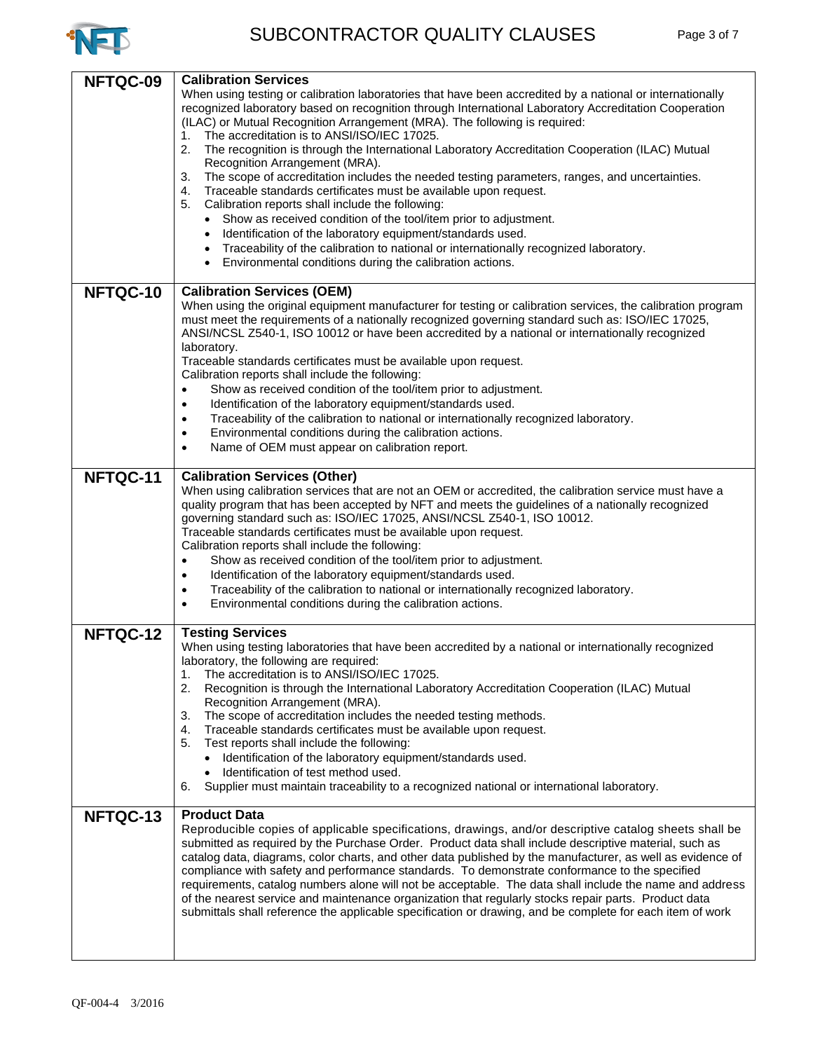

| NFTQC-09 | <b>Calibration Services</b><br>When using testing or calibration laboratories that have been accredited by a national or internationally<br>recognized laboratory based on recognition through International Laboratory Accreditation Cooperation<br>(ILAC) or Mutual Recognition Arrangement (MRA). The following is required:<br>The accreditation is to ANSI/ISO/IEC 17025.<br>1.<br>2.<br>The recognition is through the International Laboratory Accreditation Cooperation (ILAC) Mutual<br>Recognition Arrangement (MRA).<br>The scope of accreditation includes the needed testing parameters, ranges, and uncertainties.<br>3.<br>Traceable standards certificates must be available upon request.<br>4.<br>5.<br>Calibration reports shall include the following:<br>• Show as received condition of the tool/item prior to adjustment.<br>Identification of the laboratory equipment/standards used.<br>٠<br>Traceability of the calibration to national or internationally recognized laboratory.<br>Environmental conditions during the calibration actions. |
|----------|--------------------------------------------------------------------------------------------------------------------------------------------------------------------------------------------------------------------------------------------------------------------------------------------------------------------------------------------------------------------------------------------------------------------------------------------------------------------------------------------------------------------------------------------------------------------------------------------------------------------------------------------------------------------------------------------------------------------------------------------------------------------------------------------------------------------------------------------------------------------------------------------------------------------------------------------------------------------------------------------------------------------------------------------------------------------------|
| NFTQC-10 | <b>Calibration Services (OEM)</b><br>When using the original equipment manufacturer for testing or calibration services, the calibration program<br>must meet the requirements of a nationally recognized governing standard such as: ISO/IEC 17025,<br>ANSI/NCSL Z540-1, ISO 10012 or have been accredited by a national or internationally recognized<br>laboratory.<br>Traceable standards certificates must be available upon request.<br>Calibration reports shall include the following:<br>Show as received condition of the tool/item prior to adjustment.<br>$\bullet$<br>Identification of the laboratory equipment/standards used.<br>$\bullet$<br>Traceability of the calibration to national or internationally recognized laboratory.<br>$\bullet$<br>Environmental conditions during the calibration actions.<br>$\bullet$<br>Name of OEM must appear on calibration report.<br>$\bullet$                                                                                                                                                                 |
| NFTQC-11 | <b>Calibration Services (Other)</b><br>When using calibration services that are not an OEM or accredited, the calibration service must have a<br>quality program that has been accepted by NFT and meets the guidelines of a nationally recognized<br>governing standard such as: ISO/IEC 17025, ANSI/NCSL Z540-1, ISO 10012.<br>Traceable standards certificates must be available upon request.<br>Calibration reports shall include the following:<br>Show as received condition of the tool/item prior to adjustment.<br>$\bullet$<br>Identification of the laboratory equipment/standards used.<br>$\bullet$<br>Traceability of the calibration to national or internationally recognized laboratory.<br>$\bullet$<br>Environmental conditions during the calibration actions.<br>$\bullet$                                                                                                                                                                                                                                                                         |
| NFTQC-12 | <b>Testing Services</b><br>When using testing laboratories that have been accredited by a national or internationally recognized<br>laboratory, the following are required:<br>The accreditation is to ANSI/ISO/IEC 17025.<br>1.<br>2.<br>Recognition is through the International Laboratory Accreditation Cooperation (ILAC) Mutual<br>Recognition Arrangement (MRA).<br>3.<br>The scope of accreditation includes the needed testing methods.<br>Traceable standards certificates must be available upon request.<br>4.<br>5.<br>Test reports shall include the following:<br>Identification of the laboratory equipment/standards used.<br>Identification of test method used.<br>Supplier must maintain traceability to a recognized national or international laboratory.<br>6.                                                                                                                                                                                                                                                                                    |
| NFTQC-13 | <b>Product Data</b><br>Reproducible copies of applicable specifications, drawings, and/or descriptive catalog sheets shall be<br>submitted as required by the Purchase Order. Product data shall include descriptive material, such as<br>catalog data, diagrams, color charts, and other data published by the manufacturer, as well as evidence of<br>compliance with safety and performance standards. To demonstrate conformance to the specified<br>requirements, catalog numbers alone will not be acceptable. The data shall include the name and address<br>of the nearest service and maintenance organization that regularly stocks repair parts. Product data<br>submittals shall reference the applicable specification or drawing, and be complete for each item of work                                                                                                                                                                                                                                                                                    |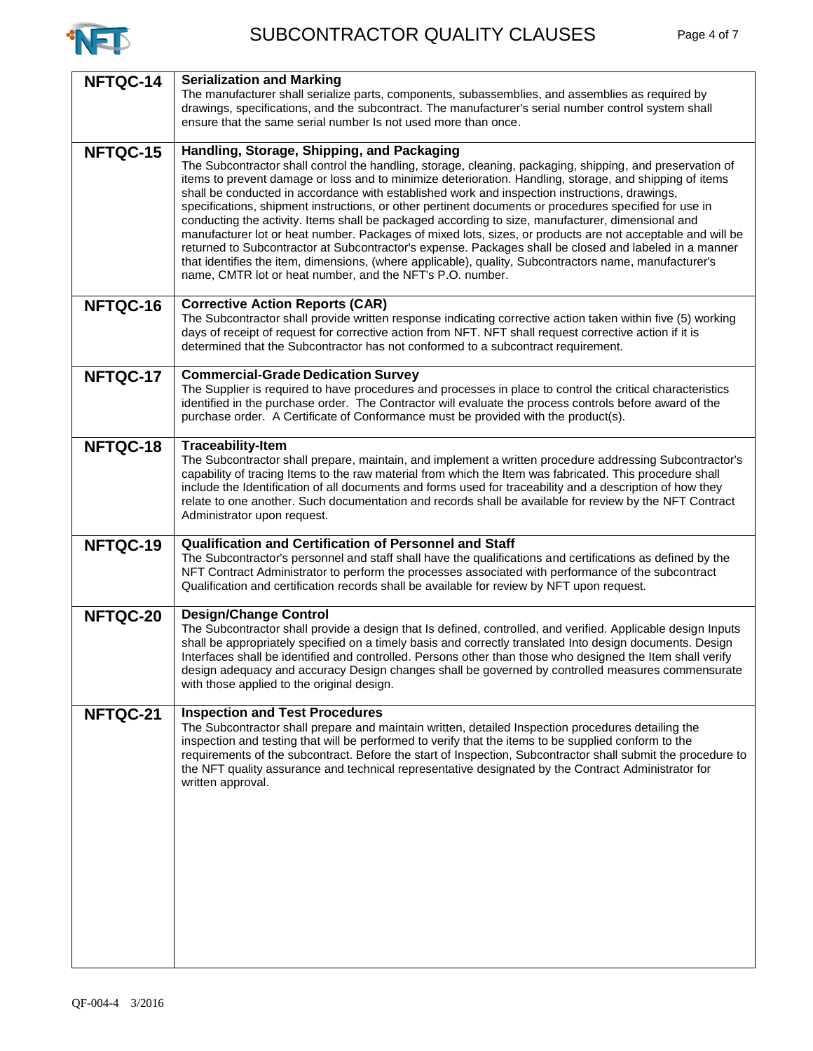

| NFTQC-14 | <b>Serialization and Marking</b>                                                                                                                                                                                      |
|----------|-----------------------------------------------------------------------------------------------------------------------------------------------------------------------------------------------------------------------|
|          | The manufacturer shall serialize parts, components, subassemblies, and assemblies as required by                                                                                                                      |
|          | drawings, specifications, and the subcontract. The manufacturer's serial number control system shall                                                                                                                  |
|          | ensure that the same serial number Is not used more than once.                                                                                                                                                        |
| NFTQC-15 | Handling, Storage, Shipping, and Packaging                                                                                                                                                                            |
|          | The Subcontractor shall control the handling, storage, cleaning, packaging, shipping, and preservation of                                                                                                             |
|          | items to prevent damage or loss and to minimize deterioration. Handling, storage, and shipping of items                                                                                                               |
|          | shall be conducted in accordance with established work and inspection instructions, drawings,                                                                                                                         |
|          | specifications, shipment instructions, or other pertinent documents or procedures specified for use in                                                                                                                |
|          | conducting the activity. Items shall be packaged according to size, manufacturer, dimensional and                                                                                                                     |
|          | manufacturer lot or heat number. Packages of mixed lots, sizes, or products are not acceptable and will be                                                                                                            |
|          | returned to Subcontractor at Subcontractor's expense. Packages shall be closed and labeled in a manner<br>that identifies the item, dimensions, (where applicable), quality, Subcontractors name, manufacturer's      |
|          | name, CMTR lot or heat number, and the NFT's P.O. number.                                                                                                                                                             |
|          |                                                                                                                                                                                                                       |
| NFTQC-16 | <b>Corrective Action Reports (CAR)</b>                                                                                                                                                                                |
|          | The Subcontractor shall provide written response indicating corrective action taken within five (5) working                                                                                                           |
|          | days of receipt of request for corrective action from NFT. NFT shall request corrective action if it is                                                                                                               |
|          | determined that the Subcontractor has not conformed to a subcontract requirement.                                                                                                                                     |
|          |                                                                                                                                                                                                                       |
| NFTQC-17 | <b>Commercial-Grade Dedication Survey</b><br>The Supplier is required to have procedures and processes in place to control the critical characteristics                                                               |
|          | identified in the purchase order. The Contractor will evaluate the process controls before award of the                                                                                                               |
|          | purchase order. A Certificate of Conformance must be provided with the product(s).                                                                                                                                    |
|          |                                                                                                                                                                                                                       |
| NFTQC-18 | <b>Traceability-Item</b>                                                                                                                                                                                              |
|          | The Subcontractor shall prepare, maintain, and implement a written procedure addressing Subcontractor's                                                                                                               |
|          | capability of tracing Items to the raw material from which the Item was fabricated. This procedure shall<br>include the Identification of all documents and forms used for traceability and a description of how they |
|          | relate to one another. Such documentation and records shall be available for review by the NFT Contract                                                                                                               |
|          | Administrator upon request.                                                                                                                                                                                           |
|          |                                                                                                                                                                                                                       |
| NFTQC-19 | Qualification and Certification of Personnel and Staff                                                                                                                                                                |
|          | The Subcontractor's personnel and staff shall have the qualifications and certifications as defined by the                                                                                                            |
|          | NFT Contract Administrator to perform the processes associated with performance of the subcontract<br>Qualification and certification records shall be available for review by NFT upon request.                      |
|          |                                                                                                                                                                                                                       |
| NFTQC-20 | <b>Design/Change Control</b>                                                                                                                                                                                          |
|          | The Subcontractor shall provide a design that Is defined, controlled, and verified. Applicable design Inputs                                                                                                          |
|          | shall be appropriately specified on a timely basis and correctly translated Into design documents. Design                                                                                                             |
|          | Interfaces shall be identified and controlled. Persons other than those who designed the Item shall verify                                                                                                            |
|          | design adequacy and accuracy Design changes shall be governed by controlled measures commensurate<br>with those applied to the original design.                                                                       |
|          |                                                                                                                                                                                                                       |
| NFTQC-21 | <b>Inspection and Test Procedures</b>                                                                                                                                                                                 |
|          | The Subcontractor shall prepare and maintain written, detailed Inspection procedures detailing the                                                                                                                    |
|          | inspection and testing that will be performed to verify that the items to be supplied conform to the                                                                                                                  |
|          | requirements of the subcontract. Before the start of Inspection, Subcontractor shall submit the procedure to<br>the NFT quality assurance and technical representative designated by the Contract Administrator for   |
|          | written approval.                                                                                                                                                                                                     |
|          |                                                                                                                                                                                                                       |
|          |                                                                                                                                                                                                                       |
|          |                                                                                                                                                                                                                       |
|          |                                                                                                                                                                                                                       |
|          |                                                                                                                                                                                                                       |
|          |                                                                                                                                                                                                                       |
|          |                                                                                                                                                                                                                       |
|          |                                                                                                                                                                                                                       |
|          |                                                                                                                                                                                                                       |
|          |                                                                                                                                                                                                                       |
|          |                                                                                                                                                                                                                       |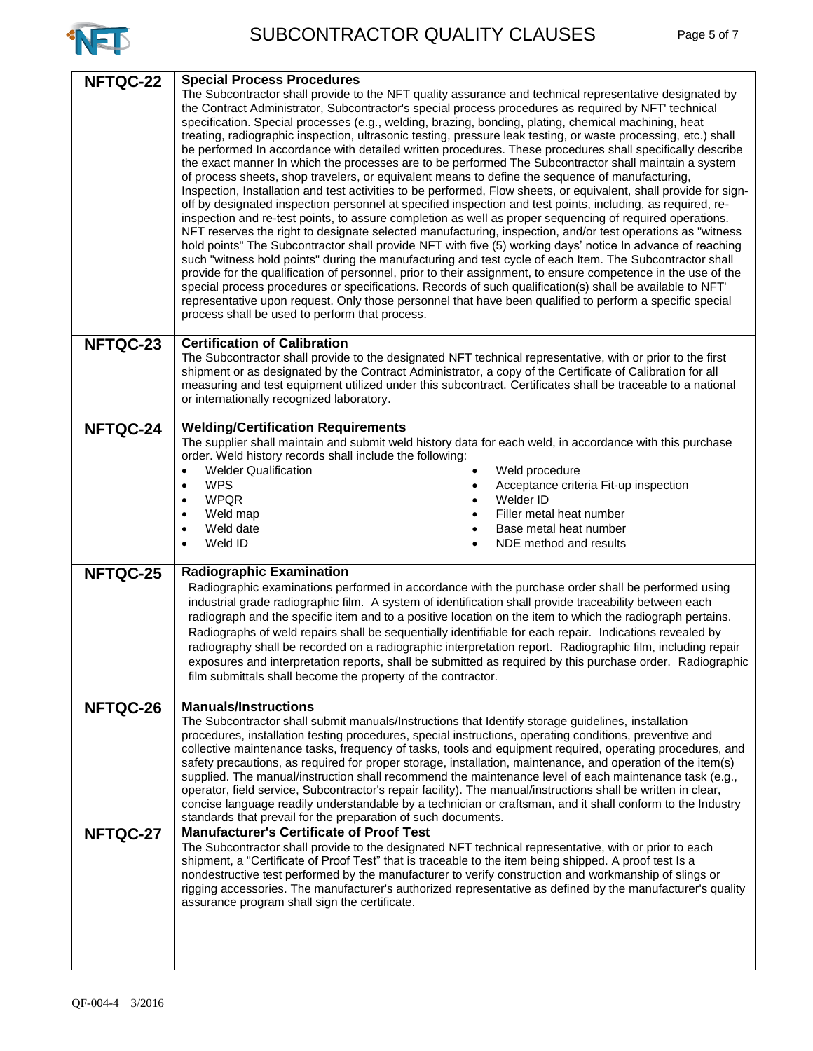

| NFTQC-22 | <b>Special Process Procedures</b><br>The Subcontractor shall provide to the NFT quality assurance and technical representative designated by<br>the Contract Administrator, Subcontractor's special process procedures as required by NFT' technical<br>specification. Special processes (e.g., welding, brazing, bonding, plating, chemical machining, heat<br>treating, radiographic inspection, ultrasonic testing, pressure leak testing, or waste processing, etc.) shall<br>be performed In accordance with detailed written procedures. These procedures shall specifically describe<br>the exact manner In which the processes are to be performed The Subcontractor shall maintain a system<br>of process sheets, shop travelers, or equivalent means to define the sequence of manufacturing,<br>Inspection, Installation and test activities to be performed, Flow sheets, or equivalent, shall provide for sign-                                 |
|----------|--------------------------------------------------------------------------------------------------------------------------------------------------------------------------------------------------------------------------------------------------------------------------------------------------------------------------------------------------------------------------------------------------------------------------------------------------------------------------------------------------------------------------------------------------------------------------------------------------------------------------------------------------------------------------------------------------------------------------------------------------------------------------------------------------------------------------------------------------------------------------------------------------------------------------------------------------------------|
|          | off by designated inspection personnel at specified inspection and test points, including, as required, re-<br>inspection and re-test points, to assure completion as well as proper sequencing of required operations.<br>NFT reserves the right to designate selected manufacturing, inspection, and/or test operations as "witness"<br>hold points" The Subcontractor shall provide NFT with five (5) working days' notice In advance of reaching<br>such "witness hold points" during the manufacturing and test cycle of each Item. The Subcontractor shall<br>provide for the qualification of personnel, prior to their assignment, to ensure competence in the use of the<br>special process procedures or specifications. Records of such qualification(s) shall be available to NFT'<br>representative upon request. Only those personnel that have been qualified to perform a specific special<br>process shall be used to perform that process. |
| NFTQC-23 | <b>Certification of Calibration</b><br>The Subcontractor shall provide to the designated NFT technical representative, with or prior to the first<br>shipment or as designated by the Contract Administrator, a copy of the Certificate of Calibration for all<br>measuring and test equipment utilized under this subcontract. Certificates shall be traceable to a national<br>or internationally recognized laboratory.                                                                                                                                                                                                                                                                                                                                                                                                                                                                                                                                   |
| NFTQC-24 | <b>Welding/Certification Requirements</b><br>The supplier shall maintain and submit weld history data for each weld, in accordance with this purchase<br>order. Weld history records shall include the following:<br><b>Welder Qualification</b><br>Weld procedure<br>$\bullet$<br><b>WPS</b><br>Acceptance criteria Fit-up inspection<br>$\bullet$<br><b>WPQR</b><br>Welder ID<br>$\bullet$<br>Filler metal heat number<br>Weld map<br>$\bullet$<br>Weld date<br>Base metal heat number<br>$\bullet$<br>Weld ID<br>NDE method and results<br>$\bullet$                                                                                                                                                                                                                                                                                                                                                                                                      |
| NFTQC-25 | <b>Radiographic Examination</b><br>Radiographic examinations performed in accordance with the purchase order shall be performed using<br>industrial grade radiographic film. A system of identification shall provide traceability between each<br>radiograph and the specific item and to a positive location on the item to which the radiograph pertains.<br>Radiographs of weld repairs shall be sequentially identifiable for each repair. Indications revealed by<br>radiography shall be recorded on a radiographic interpretation report. Radiographic film, including repair<br>exposures and interpretation reports, shall be submitted as required by this purchase order. Radiographic<br>film submittals shall become the property of the contractor.                                                                                                                                                                                           |
| NFTQC-26 | <b>Manuals/Instructions</b><br>The Subcontractor shall submit manuals/Instructions that Identify storage guidelines, installation<br>procedures, installation testing procedures, special instructions, operating conditions, preventive and<br>collective maintenance tasks, frequency of tasks, tools and equipment required, operating procedures, and<br>safety precautions, as required for proper storage, installation, maintenance, and operation of the item(s)<br>supplied. The manual/instruction shall recommend the maintenance level of each maintenance task (e.g.,<br>operator, field service, Subcontractor's repair facility). The manual/instructions shall be written in clear,<br>concise language readily understandable by a technician or craftsman, and it shall conform to the Industry<br>standards that prevail for the preparation of such documents.                                                                           |
| NFTQC-27 | <b>Manufacturer's Certificate of Proof Test</b><br>The Subcontractor shall provide to the designated NFT technical representative, with or prior to each<br>shipment, a "Certificate of Proof Test" that is traceable to the item being shipped. A proof test Is a<br>nondestructive test performed by the manufacturer to verify construction and workmanship of slings or<br>rigging accessories. The manufacturer's authorized representative as defined by the manufacturer's quality<br>assurance program shall sign the certificate.                                                                                                                                                                                                                                                                                                                                                                                                                   |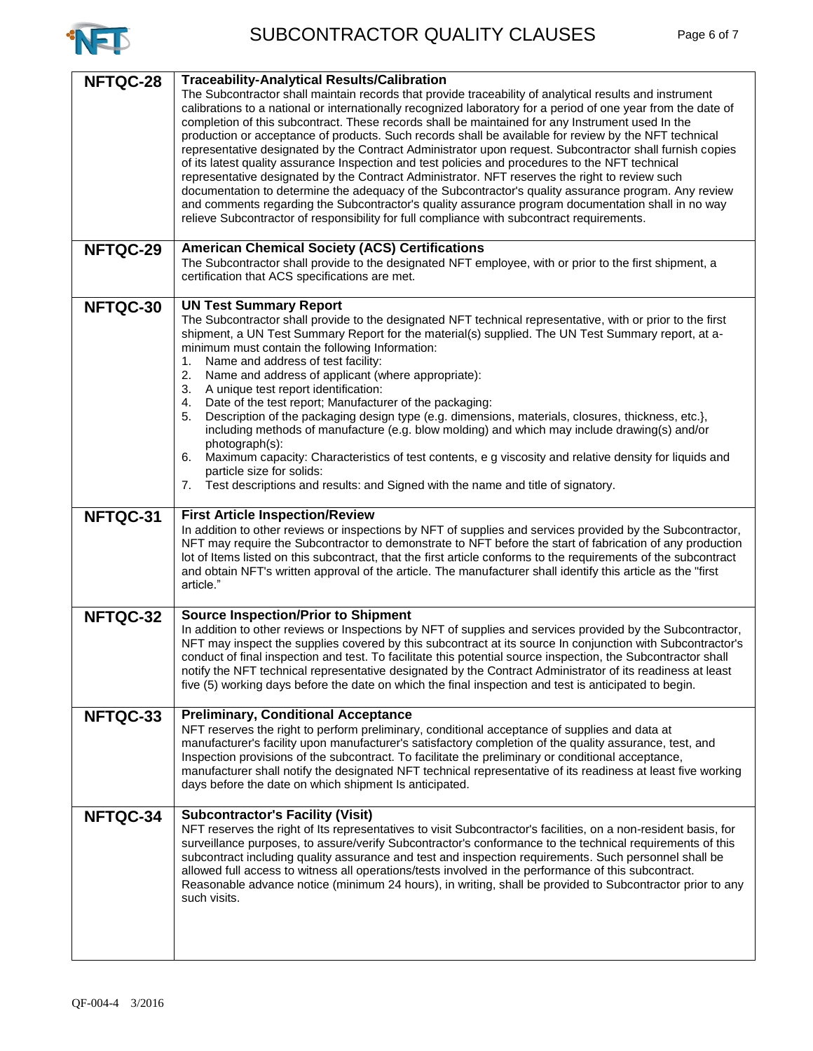

| NFTQC-28 | <b>Traceability-Analytical Results/Calibration</b><br>The Subcontractor shall maintain records that provide traceability of analytical results and instrument<br>calibrations to a national or internationally recognized laboratory for a period of one year from the date of<br>completion of this subcontract. These records shall be maintained for any Instrument used In the<br>production or acceptance of products. Such records shall be available for review by the NFT technical<br>representative designated by the Contract Administrator upon request. Subcontractor shall furnish copies<br>of its latest quality assurance Inspection and test policies and procedures to the NFT technical<br>representative designated by the Contract Administrator. NFT reserves the right to review such<br>documentation to determine the adequacy of the Subcontractor's quality assurance program. Any review<br>and comments regarding the Subcontractor's quality assurance program documentation shall in no way<br>relieve Subcontractor of responsibility for full compliance with subcontract requirements. |
|----------|---------------------------------------------------------------------------------------------------------------------------------------------------------------------------------------------------------------------------------------------------------------------------------------------------------------------------------------------------------------------------------------------------------------------------------------------------------------------------------------------------------------------------------------------------------------------------------------------------------------------------------------------------------------------------------------------------------------------------------------------------------------------------------------------------------------------------------------------------------------------------------------------------------------------------------------------------------------------------------------------------------------------------------------------------------------------------------------------------------------------------|
| NFTQC-29 | <b>American Chemical Society (ACS) Certifications</b><br>The Subcontractor shall provide to the designated NFT employee, with or prior to the first shipment, a<br>certification that ACS specifications are met.                                                                                                                                                                                                                                                                                                                                                                                                                                                                                                                                                                                                                                                                                                                                                                                                                                                                                                         |
| NFTQC-30 | <b>UN Test Summary Report</b><br>The Subcontractor shall provide to the designated NFT technical representative, with or prior to the first<br>shipment, a UN Test Summary Report for the material(s) supplied. The UN Test Summary report, at a-<br>minimum must contain the following Information:<br>Name and address of test facility:<br>1.<br>2.<br>Name and address of applicant (where appropriate):<br>3.<br>A unique test report identification:<br>Date of the test report; Manufacturer of the packaging:<br>4.<br>Description of the packaging design type (e.g. dimensions, materials, closures, thickness, etc.),<br>5.<br>including methods of manufacture (e.g. blow molding) and which may include drawing(s) and/or<br>photograph(s):<br>Maximum capacity: Characteristics of test contents, e g viscosity and relative density for liquids and<br>6.<br>particle size for solids:<br>Test descriptions and results: and Signed with the name and title of signatory.<br>7.                                                                                                                            |
| NFTQC-31 | <b>First Article Inspection/Review</b><br>In addition to other reviews or inspections by NFT of supplies and services provided by the Subcontractor,<br>NFT may require the Subcontractor to demonstrate to NFT before the start of fabrication of any production<br>lot of Items listed on this subcontract, that the first article conforms to the requirements of the subcontract<br>and obtain NFT's written approval of the article. The manufacturer shall identify this article as the "first<br>article."                                                                                                                                                                                                                                                                                                                                                                                                                                                                                                                                                                                                         |
| NFTQC-32 | <b>Source Inspection/Prior to Shipment</b><br>In addition to other reviews or Inspections by NFT of supplies and services provided by the Subcontractor,<br>NFT may inspect the supplies covered by this subcontract at its source In conjunction with Subcontractor's<br>conduct of final inspection and test. To facilitate this potential source inspection, the Subcontractor shall<br>notify the NFT technical representative designated by the Contract Administrator of its readiness at least<br>five (5) working days before the date on which the final inspection and test is anticipated to begin.                                                                                                                                                                                                                                                                                                                                                                                                                                                                                                            |
| NFTQC-33 | <b>Preliminary, Conditional Acceptance</b><br>NFT reserves the right to perform preliminary, conditional acceptance of supplies and data at<br>manufacturer's facility upon manufacturer's satisfactory completion of the quality assurance, test, and<br>Inspection provisions of the subcontract. To facilitate the preliminary or conditional acceptance,<br>manufacturer shall notify the designated NFT technical representative of its readiness at least five working<br>days before the date on which shipment Is anticipated.                                                                                                                                                                                                                                                                                                                                                                                                                                                                                                                                                                                    |
| NFTQC-34 | <b>Subcontractor's Facility (Visit)</b><br>NFT reserves the right of Its representatives to visit Subcontractor's facilities, on a non-resident basis, for<br>surveillance purposes, to assure/verify Subcontractor's conformance to the technical requirements of this<br>subcontract including quality assurance and test and inspection requirements. Such personnel shall be<br>allowed full access to witness all operations/tests involved in the performance of this subcontract.<br>Reasonable advance notice (minimum 24 hours), in writing, shall be provided to Subcontractor prior to any<br>such visits.                                                                                                                                                                                                                                                                                                                                                                                                                                                                                                     |